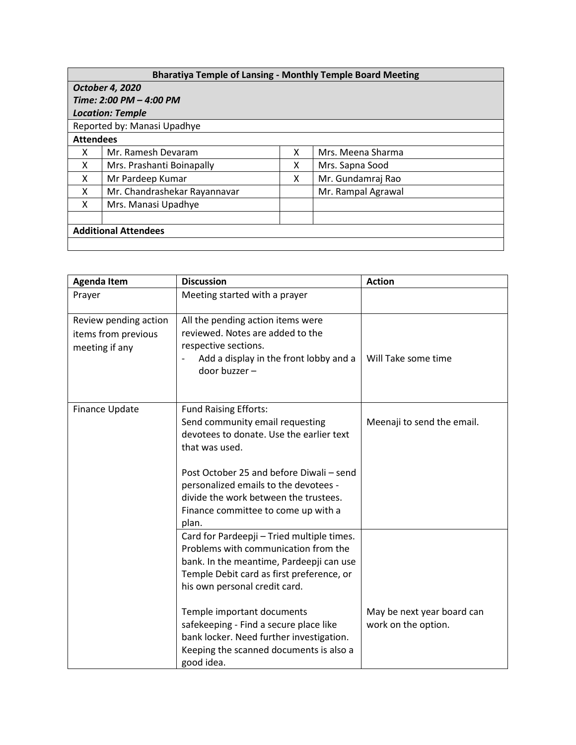| <b>Bharatiya Temple of Lansing - Monthly Temple Board Meeting</b> |                              |   |                    |  |  |  |
|-------------------------------------------------------------------|------------------------------|---|--------------------|--|--|--|
| October 4, 2020                                                   |                              |   |                    |  |  |  |
| Time: 2:00 PM - 4:00 PM                                           |                              |   |                    |  |  |  |
| <b>Location: Temple</b>                                           |                              |   |                    |  |  |  |
| Reported by: Manasi Upadhye                                       |                              |   |                    |  |  |  |
| <b>Attendees</b>                                                  |                              |   |                    |  |  |  |
| x                                                                 | Mr. Ramesh Devaram           | x | Mrs. Meena Sharma  |  |  |  |
| x                                                                 | Mrs. Prashanti Boinapally    | x | Mrs. Sapna Sood    |  |  |  |
| x                                                                 | Mr Pardeep Kumar             | x | Mr. Gundamraj Rao  |  |  |  |
| x                                                                 | Mr. Chandrashekar Rayannavar |   | Mr. Rampal Agrawal |  |  |  |
| x                                                                 | Mrs. Manasi Upadhye          |   |                    |  |  |  |
|                                                                   |                              |   |                    |  |  |  |
| <b>Additional Attendees</b>                                       |                              |   |                    |  |  |  |
|                                                                   |                              |   |                    |  |  |  |

| <b>Agenda Item</b>                                             | <b>Discussion</b>                                                                                                                                                                                                                                                                                                                                                                         | <b>Action</b>                                     |
|----------------------------------------------------------------|-------------------------------------------------------------------------------------------------------------------------------------------------------------------------------------------------------------------------------------------------------------------------------------------------------------------------------------------------------------------------------------------|---------------------------------------------------|
| Prayer                                                         | Meeting started with a prayer                                                                                                                                                                                                                                                                                                                                                             |                                                   |
| Review pending action<br>items from previous<br>meeting if any | All the pending action items were<br>reviewed. Notes are added to the<br>respective sections.<br>Add a display in the front lobby and a<br>door buzzer -                                                                                                                                                                                                                                  | Will Take some time                               |
| Finance Update                                                 | <b>Fund Raising Efforts:</b><br>Send community email requesting<br>devotees to donate. Use the earlier text<br>that was used.<br>Post October 25 and before Diwali - send<br>personalized emails to the devotees -<br>divide the work between the trustees.<br>Finance committee to come up with a<br>plan.                                                                               | Meenaji to send the email.                        |
|                                                                | Card for Pardeepji - Tried multiple times.<br>Problems with communication from the<br>bank. In the meantime, Pardeepji can use<br>Temple Debit card as first preference, or<br>his own personal credit card.<br>Temple important documents<br>safekeeping - Find a secure place like<br>bank locker. Need further investigation.<br>Keeping the scanned documents is also a<br>good idea. | May be next year board can<br>work on the option. |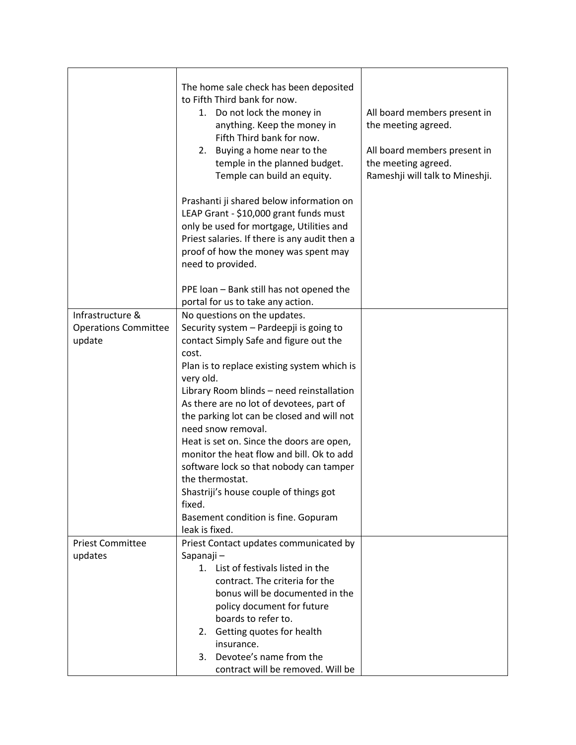|                                                           | The home sale check has been deposited<br>to Fifth Third bank for now.<br>1. Do not lock the money in<br>anything. Keep the money in<br>Fifth Third bank for now.<br>Buying a home near to the<br>2.<br>temple in the planned budget.<br>Temple can build an equity.                                                                                                                                                                                                                                                                                  | All board members present in<br>the meeting agreed.<br>All board members present in<br>the meeting agreed.<br>Rameshji will talk to Mineshji. |
|-----------------------------------------------------------|-------------------------------------------------------------------------------------------------------------------------------------------------------------------------------------------------------------------------------------------------------------------------------------------------------------------------------------------------------------------------------------------------------------------------------------------------------------------------------------------------------------------------------------------------------|-----------------------------------------------------------------------------------------------------------------------------------------------|
|                                                           | Prashanti ji shared below information on<br>LEAP Grant - \$10,000 grant funds must<br>only be used for mortgage, Utilities and<br>Priest salaries. If there is any audit then a<br>proof of how the money was spent may<br>need to provided.                                                                                                                                                                                                                                                                                                          |                                                                                                                                               |
|                                                           | PPE loan - Bank still has not opened the<br>portal for us to take any action.                                                                                                                                                                                                                                                                                                                                                                                                                                                                         |                                                                                                                                               |
|                                                           |                                                                                                                                                                                                                                                                                                                                                                                                                                                                                                                                                       |                                                                                                                                               |
| Infrastructure &<br><b>Operations Committee</b><br>update | No questions on the updates.<br>Security system - Pardeepji is going to<br>contact Simply Safe and figure out the<br>cost.<br>Plan is to replace existing system which is<br>very old.<br>Library Room blinds - need reinstallation<br>As there are no lot of devotees, part of<br>the parking lot can be closed and will not<br>need snow removal.<br>Heat is set on. Since the doors are open,<br>monitor the heat flow and bill. Ok to add<br>software lock so that nobody can tamper<br>the thermostat.<br>Shastriji's house couple of things got |                                                                                                                                               |
|                                                           | fixed.                                                                                                                                                                                                                                                                                                                                                                                                                                                                                                                                                |                                                                                                                                               |
|                                                           | Basement condition is fine. Gopuram<br>leak is fixed.                                                                                                                                                                                                                                                                                                                                                                                                                                                                                                 |                                                                                                                                               |
| <b>Priest Committee</b>                                   | Priest Contact updates communicated by                                                                                                                                                                                                                                                                                                                                                                                                                                                                                                                |                                                                                                                                               |
| updates                                                   | Sapanaji-                                                                                                                                                                                                                                                                                                                                                                                                                                                                                                                                             |                                                                                                                                               |
|                                                           | 1. List of festivals listed in the                                                                                                                                                                                                                                                                                                                                                                                                                                                                                                                    |                                                                                                                                               |
|                                                           | contract. The criteria for the                                                                                                                                                                                                                                                                                                                                                                                                                                                                                                                        |                                                                                                                                               |
|                                                           | bonus will be documented in the                                                                                                                                                                                                                                                                                                                                                                                                                                                                                                                       |                                                                                                                                               |
|                                                           | policy document for future                                                                                                                                                                                                                                                                                                                                                                                                                                                                                                                            |                                                                                                                                               |
|                                                           | boards to refer to.                                                                                                                                                                                                                                                                                                                                                                                                                                                                                                                                   |                                                                                                                                               |
|                                                           | 2. Getting quotes for health                                                                                                                                                                                                                                                                                                                                                                                                                                                                                                                          |                                                                                                                                               |
|                                                           | insurance.                                                                                                                                                                                                                                                                                                                                                                                                                                                                                                                                            |                                                                                                                                               |
|                                                           | Devotee's name from the<br>3.                                                                                                                                                                                                                                                                                                                                                                                                                                                                                                                         |                                                                                                                                               |
|                                                           | contract will be removed. Will be                                                                                                                                                                                                                                                                                                                                                                                                                                                                                                                     |                                                                                                                                               |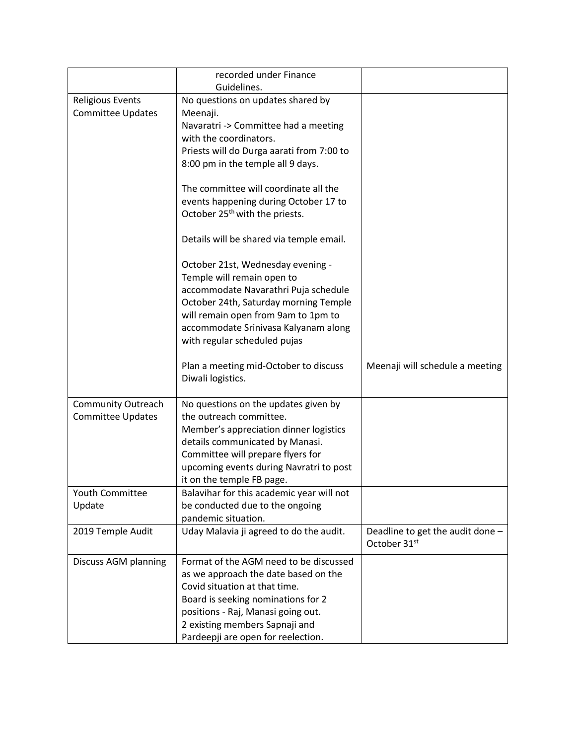|                           | recorded under Finance<br>Guidelines.      |                                  |
|---------------------------|--------------------------------------------|----------------------------------|
|                           |                                            |                                  |
| <b>Religious Events</b>   | No questions on updates shared by          |                                  |
| <b>Committee Updates</b>  | Meenaji.                                   |                                  |
|                           | Navaratri -> Committee had a meeting       |                                  |
|                           | with the coordinators.                     |                                  |
|                           | Priests will do Durga aarati from 7:00 to  |                                  |
|                           | 8:00 pm in the temple all 9 days.          |                                  |
|                           |                                            |                                  |
|                           | The committee will coordinate all the      |                                  |
|                           | events happening during October 17 to      |                                  |
|                           | October 25 <sup>th</sup> with the priests. |                                  |
|                           |                                            |                                  |
|                           | Details will be shared via temple email.   |                                  |
|                           |                                            |                                  |
|                           | October 21st, Wednesday evening -          |                                  |
|                           | Temple will remain open to                 |                                  |
|                           | accommodate Navarathri Puja schedule       |                                  |
|                           | October 24th, Saturday morning Temple      |                                  |
|                           | will remain open from 9am to 1pm to        |                                  |
|                           | accommodate Srinivasa Kalyanam along       |                                  |
|                           | with regular scheduled pujas               |                                  |
|                           |                                            |                                  |
|                           | Plan a meeting mid-October to discuss      | Meenaji will schedule a meeting  |
|                           | Diwali logistics.                          |                                  |
|                           |                                            |                                  |
| <b>Community Outreach</b> | No questions on the updates given by       |                                  |
| <b>Committee Updates</b>  | the outreach committee.                    |                                  |
|                           | Member's appreciation dinner logistics     |                                  |
|                           | details communicated by Manasi.            |                                  |
|                           | Committee will prepare flyers for          |                                  |
|                           | upcoming events during Navratri to post    |                                  |
|                           | it on the temple FB page.                  |                                  |
| <b>Youth Committee</b>    | Balavihar for this academic year will not  |                                  |
| Update                    | be conducted due to the ongoing            |                                  |
|                           | pandemic situation.                        |                                  |
| 2019 Temple Audit         | Uday Malavia ji agreed to do the audit.    | Deadline to get the audit done - |
|                           |                                            | October 31 <sup>st</sup>         |
| Discuss AGM planning      | Format of the AGM need to be discussed     |                                  |
|                           | as we approach the date based on the       |                                  |
|                           | Covid situation at that time.              |                                  |
|                           | Board is seeking nominations for 2         |                                  |
|                           | positions - Raj, Manasi going out.         |                                  |
|                           | 2 existing members Sapnaji and             |                                  |
|                           | Pardeepji are open for reelection.         |                                  |
|                           |                                            |                                  |